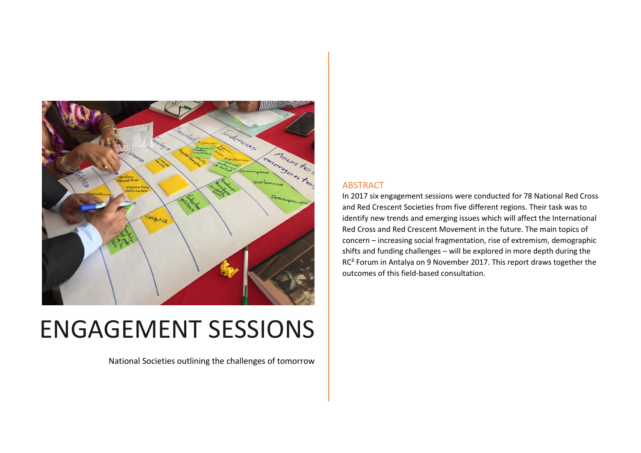

# ENGAGEMENT SESSIONS

National Societies outlining the challenges of tomorrow

# ABSTRACT

In 2017 six engagement sessions were conducted for 78 National Red Cross and Red Crescent Societies from five different regions. Their task was to identify new trends and emerging issues which will affect the International Red Cross and Red Crescent Movement in the future. The main topics of concern – increasing social fragmentation, rise of extremism, demographic shifts and funding challenges – will be explored in more depth during the RC² Forum in Antalya on 9 November 2017. This report draws together the outcomes of this field-based consultation.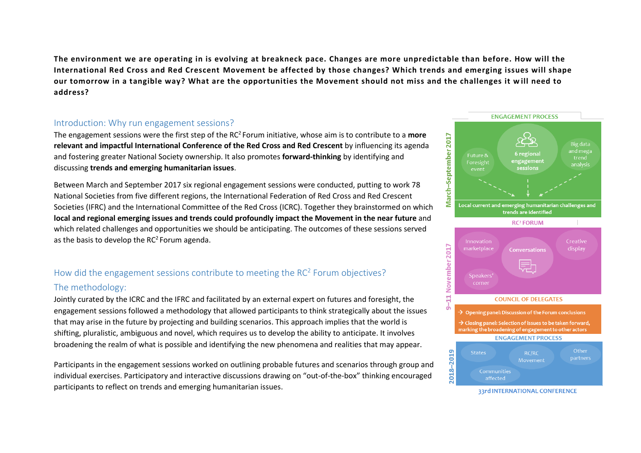**The environment we are operating in is evolving at breakneck pace. Changes are more unpredictable than before. How will the International Red Cross and Red Crescent Movement be affected by those changes? Which trends and emerging issues will shape our tomorrow in a tangible way? What are the opportunities the Movement should not miss and the challenges it w ill need to address?**

#### Introduction: Why run engagement sessions?

The engagement sessions were the first step of the RC<sup>2</sup> Forum initiative, whose aim is to contribute to a **more relevant and impactful International Conference of the Red Cross and Red Crescent** by influencing its agenda and fostering greater National Society ownership. It also promotes **forward-thinking** by identifying and discussing **trends and emerging humanitarian issues**.

Between March and September 2017 six regional engagement sessions were conducted, putting to work 78 National Societies from five different regions, the International Federation of Red Cross and Red Crescent Societies (IFRC) and the International Committee of the Red Cross (ICRC). Together they brainstormed on which **local and regional emerging issues and trends could profoundly impact the Movement in the near future** and which related challenges and opportunities we should be anticipating. The outcomes of these sessions served as the basis to develop the  $RC<sup>2</sup>$  Forum agenda.

# How did the engagement sessions contribute to meeting the  $RC<sup>2</sup>$  Forum objectives?

# The methodology:

Jointly curated by the ICRC and the IFRC and facilitated by an external expert on futures and foresight, the engagement sessions followed a methodology that allowed participants to think strategically about the issues that may arise in the future by projecting and building scenarios. This approach implies that the world is shifting, pluralistic, ambiguous and novel, which requires us to develop the ability to anticipate. It involves broadening the realm of what is possible and identifying the new phenomena and realities that may appear.

Participants in the engagement sessions worked on outlining probable futures and scenarios through group and individual exercises. Participatory and interactive discussions drawing on "out-of-the-box" thinking encouraged participants to reflect on trends and emerging humanitarian issues.



33rd INTERNATIONAL CONFERENCE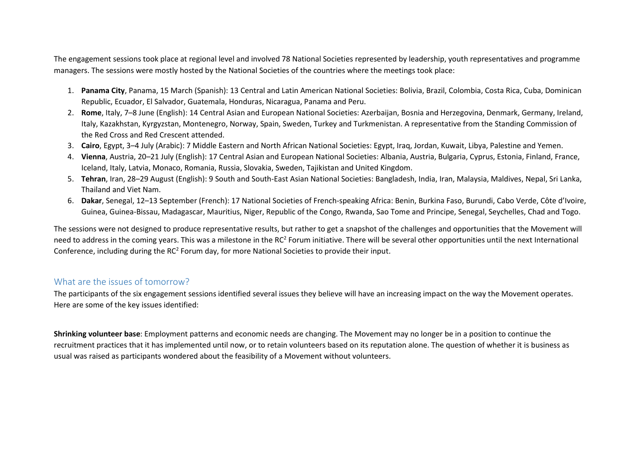The engagement sessions took place at regional level and involved 78 National Societies represented by leadership, youth representatives and programme managers. The sessions were mostly hosted by the National Societies of the countries where the meetings took place:

- 1. **Panama City**, Panama, 15 March (Spanish): 13 Central and Latin American National Societies: Bolivia, Brazil, Colombia, Costa Rica, Cuba, Dominican Republic, Ecuador, El Salvador, Guatemala, Honduras, Nicaragua, Panama and Peru.
- 2. **Rome**, Italy, 7–8 June (English): 14 Central Asian and European National Societies: Azerbaijan, Bosnia and Herzegovina, Denmark, Germany, Ireland, Italy, Kazakhstan, Kyrgyzstan, Montenegro, Norway, Spain, Sweden, Turkey and Turkmenistan. A representative from the Standing Commission of the Red Cross and Red Crescent attended.
- 3. **Cairo**, Egypt, 3–4 July (Arabic): 7 Middle Eastern and North African National Societies: Egypt, Iraq, Jordan, Kuwait, Libya, Palestine and Yemen.
- 4. **Vienna**, Austria, 20–21 July (English): 17 Central Asian and European National Societies: Albania, Austria, Bulgaria, Cyprus, Estonia, Finland, France, Iceland, Italy, Latvia, Monaco, Romania, Russia, Slovakia, Sweden, Tajikistan and United Kingdom.
- 5. **Tehran**, Iran, 28–29 August (English): 9 South and South-East Asian National Societies: Bangladesh, India, Iran, Malaysia, Maldives, Nepal, Sri Lanka, Thailand and Viet Nam.
- 6. **Dakar**, Senegal, 12–13 September (French): 17 National Societies of French-speaking Africa: Benin, Burkina Faso, Burundi, Cabo Verde, Côte d'Ivoire, Guinea, Guinea-Bissau, Madagascar, Mauritius, Niger, Republic of the Congo, Rwanda, Sao Tome and Principe, Senegal, Seychelles, Chad and Togo.

The sessions were not designed to produce representative results, but rather to get a snapshot of the challenges and opportunities that the Movement will need to address in the coming years. This was a milestone in the RC<sup>2</sup> Forum initiative. There will be several other opportunities until the next International Conference, including during the RC<sup>2</sup> Forum day, for more National Societies to provide their input.

### What are the issues of tomorrow?

The participants of the six engagement sessions identified several issues they believe will have an increasing impact on the way the Movement operates. Here are some of the key issues identified:

**Shrinking volunteer base**: Employment patterns and economic needs are changing. The Movement may no longer be in a position to continue the recruitment practices that it has implemented until now, or to retain volunteers based on its reputation alone. The question of whether it is business as usual was raised as participants wondered about the feasibility of a Movement without volunteers.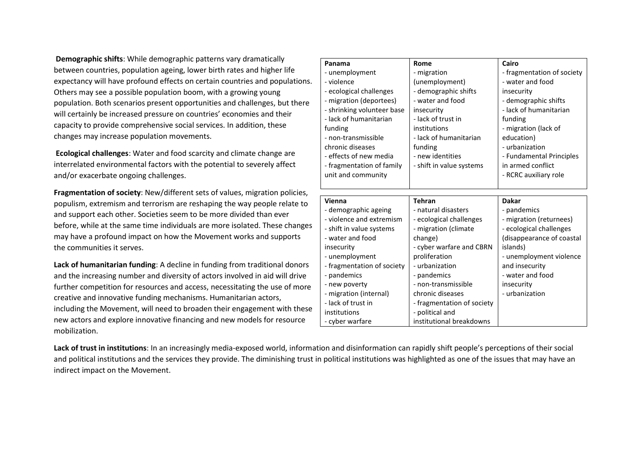**Demographic shifts**: While demographic patterns vary dramatically between countries, population ageing, lower birth rates and higher life expectancy will have profound effects on certain countries and populations. Others may see a possible population boom, with a growing young population. Both scenarios present opportunities and challenges, but there will certainly be increased pressure on countries' economies and their capacity to provide comprehensive social services. In addition, these changes may increase population movements.

**Ecological challenges**: Water and food scarcity and climate change are interrelated environmental factors with the potential to severely affect and/or exacerbate ongoing challenges.

**Fragmentation of society**: New/different sets of values, migration policies, populism, extremism and terrorism are reshaping the way people relate to and support each other. Societies seem to be more divided than ever before, while at the same time individuals are more isolated. These changes may have a profound impact on how the Movement works and supports the communities it serves.

**Lack of humanitarian funding**: A decline in funding from traditional donors and the increasing number and diversity of actors involved in aid will drive further competition for resources and access, necessitating the use of more creative and innovative funding mechanisms. Humanitarian actors, including the Movement, will need to broaden their engagement with these new actors and explore innovative financing and new models for resource mobilization.

| Panama                     | Rome                       | Cairo                      |
|----------------------------|----------------------------|----------------------------|
| - unemployment             | - migration                | - fragmentation of society |
| - violence                 | (unemployment)             | - water and food           |
| - ecological challenges    | - demographic shifts       | insecurity                 |
| - migration (deportees)    | - water and food           | - demographic shifts       |
| - shrinking volunteer base | insecurity                 | - lack of humanitarian     |
| - lack of humanitarian     | - lack of trust in         | funding                    |
| funding                    | institutions               | - migration (lack of       |
| - non-transmissible        | - lack of humanitarian     | education)                 |
| chronic diseases           | funding                    | - urbanization             |
| - effects of new media     | - new identities           | - Fundamental Principles   |
| - fragmentation of family  | - shift in value systems   | in armed conflict          |
| unit and community         |                            | - RCRC auxiliary role      |
|                            |                            |                            |
|                            |                            |                            |
|                            |                            |                            |
| Vienna                     | <b>Tehran</b>              | <b>Dakar</b>               |
| - demographic ageing       | - natural disasters        | - pandemics                |
| - violence and extremism   | - ecological challenges    | - migration (returnees)    |
| - shift in value systems   | - migration (climate       | - ecological challenges    |
| - water and food           | change)                    | (disappearance of coastal  |
| insecurity                 | - cyber warfare and CBRN   | islands)                   |
| - unemployment             | proliferation              | - unemployment violence    |
| - fragmentation of society | - urbanization             | and insecurity             |
| - pandemics                | - pandemics                | - water and food           |
| - new poverty              | - non-transmissible        | insecurity                 |
| - migration (internal)     | chronic diseases           | - urbanization             |
| - lack of trust in         | - fragmentation of society |                            |
| institutions               | - political and            |                            |

**Lack of trust in institutions**: In an increasingly media-exposed world, information and disinformation can rapidly shift people's perceptions of their social and political institutions and the services they provide. The diminishing trust in political institutions was highlighted as one of the issues that may have an indirect impact on the Movement.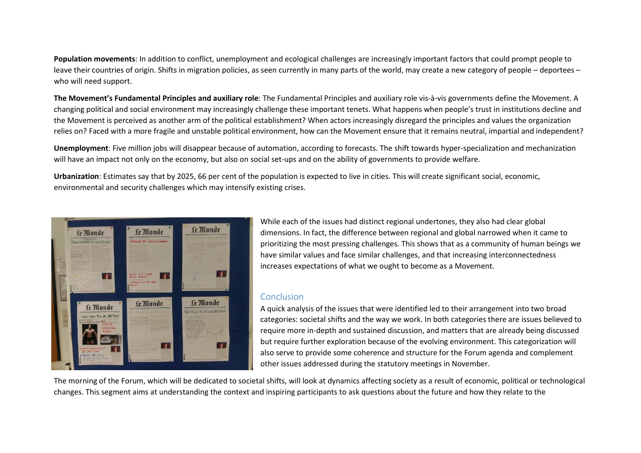**Population movements**: In addition to conflict, unemployment and ecological challenges are increasingly important factors that could prompt people to leave their countries of origin. Shifts in migration policies, as seen currently in many parts of the world, may create a new category of people – deportees – who will need support.

**The Movement's Fundamental Principles and auxiliary role**: The Fundamental Principles and auxiliary role vis-à-vis governments define the Movement. A changing political and social environment may increasingly challenge these important tenets. What happens when people's trust in institutions decline and the Movement is perceived as another arm of the political establishment? When actors increasingly disregard the principles and values the organization relies on? Faced with a more fragile and unstable political environment, how can the Movement ensure that it remains neutral, impartial and independent?

**Unemployment**: Five million jobs will disappear because of automation, according to forecasts. The shift towards hyper-specialization and mechanization will have an impact not only on the economy, but also on social set-ups and on the ability of governments to provide welfare.

**Urbanization**: Estimates say that by 2025, 66 per cent of the population is expected to live in cities. This will create significant social, economic, environmental and security challenges which may intensify existing crises.



While each of the issues had distinct regional undertones, they also had clear global dimensions. In fact, the difference between regional and global narrowed when it came to prioritizing the most pressing challenges. This shows that as a community of human beings we have similar values and face similar challenges, and that increasing interconnectedness increases expectations of what we ought to become as a Movement.

#### Conclusion

A quick analysis of the issues that were identified led to their arrangement into two broad categories: societal shifts and the way we work. In both categories there are issues believed to require more in-depth and sustained discussion, and matters that are already being discussed but require further exploration because of the evolving environment. This categorization will also serve to provide some coherence and structure for the Forum agenda and complement other issues addressed during the statutory meetings in November.

The morning of the Forum, which will be dedicated to societal shifts, will look at dynamics affecting society as a result of economic, political or technological changes. This segment aims at understanding the context and inspiring participants to ask questions about the future and how they relate to the